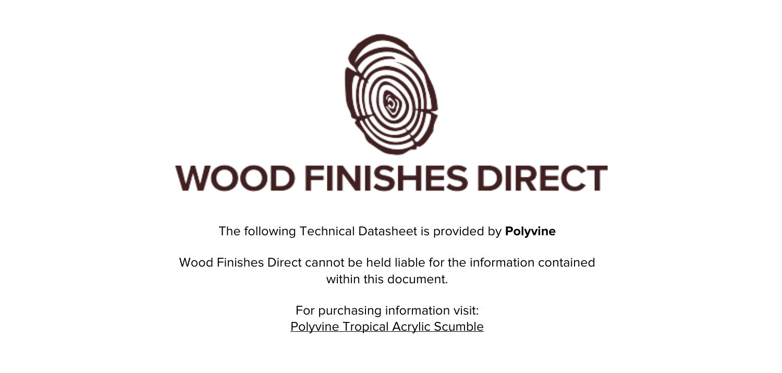

The following Technical Datasheet is provided by **Polyvine**

Wood Finishes Direct cannot be held liable for the information contained within this document

> For purchasing information visit: [Polyvine Tropical Acrylic Scumble](https://www.wood-finishes-direct.com/product/polyvine-tropical-acrylic-scumble)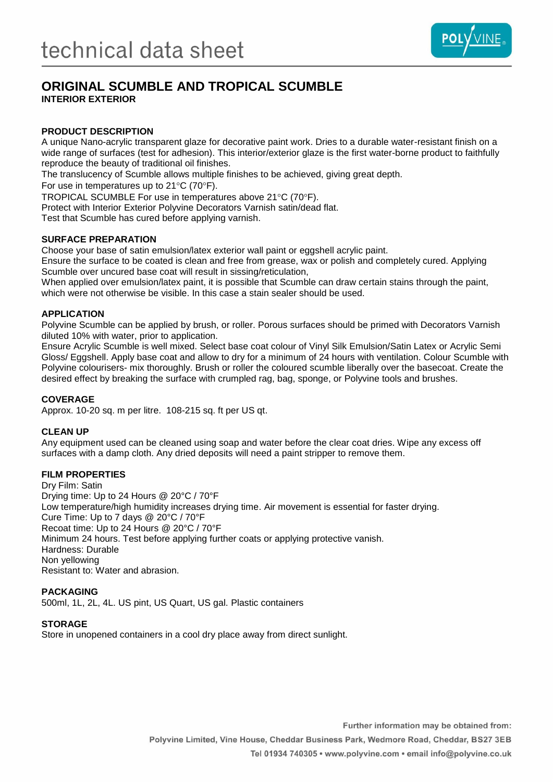

# **ORIGINAL SCUMBLE AND TROPICAL SCUMBLE INTERIOR EXTERIOR**

### **PRODUCT DESCRIPTION**

A unique Nano-acrylic transparent glaze for decorative paint work. Dries to a durable water-resistant finish on a wide range of surfaces (test for adhesion). This interior/exterior glaze is the first water-borne product to faithfully reproduce the beauty of traditional oil finishes.

The translucency of Scumble allows multiple finishes to be achieved, giving great depth.

For use in temperatures up to  $21^{\circ}$ C (70 $^{\circ}$ F).

TROPICAL SCUMBLE For use in temperatures above 21°C (70°F).

Protect with Interior Exterior Polyvine Decorators Varnish satin/dead flat.

Test that Scumble has cured before applying varnish.

### **SURFACE PREPARATION**

Choose your base of satin emulsion/latex exterior wall paint or eggshell acrylic paint.

Ensure the surface to be coated is clean and free from grease, wax or polish and completely cured. Applying Scumble over uncured base coat will result in sissing/reticulation,

When applied over emulsion/latex paint, it is possible that Scumble can draw certain stains through the paint, which were not otherwise be visible. In this case a stain sealer should be used.

### **APPLICATION**

Polyvine Scumble can be applied by brush, or roller. Porous surfaces should be primed with Decorators Varnish diluted 10% with water, prior to application.

Ensure Acrylic Scumble is well mixed. Select base coat colour of Vinyl Silk Emulsion/Satin Latex or Acrylic Semi Gloss/ Eggshell. Apply base coat and allow to dry for a minimum of 24 hours with ventilation. Colour Scumble with Polyvine colourisers- mix thoroughly. Brush or roller the coloured scumble liberally over the basecoat. Create the desired effect by breaking the surface with crumpled rag, bag, sponge, or Polyvine tools and brushes.

### **COVERAGE**

Approx. 10-20 sq. m per litre. 108-215 sq. ft per US qt.

#### **CLEAN UP**

Any equipment used can be cleaned using soap and water before the clear coat dries. Wipe any excess off surfaces with a damp cloth. Any dried deposits will need a paint stripper to remove them.

### **FILM PROPERTIES**

Dry Film: Satin Drying time: Up to 24 Hours @ 20°C / 70°F Low temperature/high humidity increases drying time. Air movement is essential for faster drying. Cure Time: Up to 7 days @ 20°C / 70°F Recoat time: Up to 24 Hours @ 20°C / 70°F Minimum 24 hours. Test before applying further coats or applying protective vanish. Hardness: Durable Non yellowing Resistant to: Water and abrasion.

### **PACKAGING**

500ml, 1L, 2L, 4L. US pint, US Quart, US gal. Plastic containers

### **STORAGE**

Store in unopened containers in a cool dry place away from direct sunlight.